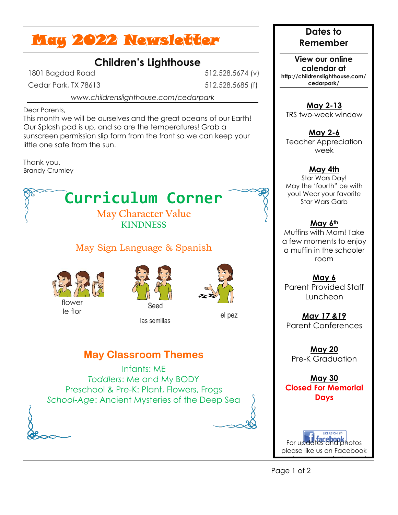# May 2022 Newsletter

## **Children's Lighthouse**

1801 Bagdad Road

Cedar Park, TX 78613

512.528.5674 (v) 512.528.5685 (f)

*www.childrenslighthouse.com/cedarpark*

Dear Parents,

This month we will be ourselves and the great oceans of our Earth! Our Splash pad is up, and so are the temperatures! Grab a sunscreen permission slip form from the front so we can keep your little one safe from the sun.

Thank you, Brandy Crumley

# **Curriculum Corner**

#### **May Character Value KINDNESS**

### May Sign Language & Spanish







las semillas

el pez

## **May Classroom Themes**

Infants: ME *Toddlers*: Me and My BODY Preschool & Pre-K: Plant, Flowers, Frogs *School-Age*: Ancient Mysteries of the Deep Sea

#### **Dates to Remember**

**View our online calendar at http://childrenslighthouse.com/ cedarpark/**

**May 2-13** TRS two-week window

**May 2-6** Teacher Appreciation week

#### **May 4th**

Star Wars Day! May the 'fourth" be with you! Wear your favorite Star Wars Garb

#### **May 6th**

Muffins with Mom! Take a few moments to enjoy a muffin in the schooler room

**May 6** Parent Provided Staff Luncheon

*May 17 &19* Parent Conferences

**May 20** Pre-K Graduation

**May 30 Closed For Memorial Days**

For u[pdates and ph](http://www.google.com/url?sa=i&rct=j&q=&esrc=s&frm=1&source=images&cd=&cad=rja&docid=iPCTeiA_DUQ38M&tbnid=NaeDVOIwQfAUMM:&ved=0CAUQjRw&url=http://www.mkr-technology.com/&ei=mSUqUuecKIHc2gX4voCIDA&bvm=bv.51773540,d.b2I&psig=AFQjCNF8-khRvZNY9GVqT3bNmQab4-q25g&ust=1378580205739237)otos please like us on Facebook

and a very new Instagram!

Page 1 of 2